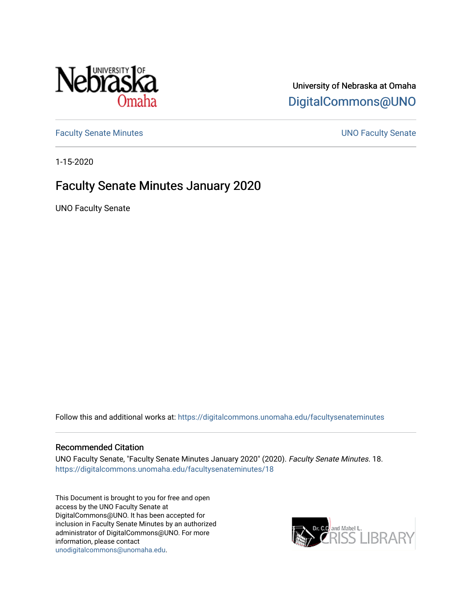

## University of Nebraska at Omaha [DigitalCommons@UNO](https://digitalcommons.unomaha.edu/)

[Faculty Senate Minutes](https://digitalcommons.unomaha.edu/facultysenateminutes) **Example 2018** UNO Faculty Senate

1-15-2020

## Faculty Senate Minutes January 2020

UNO Faculty Senate

Follow this and additional works at: [https://digitalcommons.unomaha.edu/facultysenateminutes](https://digitalcommons.unomaha.edu/facultysenateminutes?utm_source=digitalcommons.unomaha.edu%2Ffacultysenateminutes%2F18&utm_medium=PDF&utm_campaign=PDFCoverPages) 

#### Recommended Citation

UNO Faculty Senate, "Faculty Senate Minutes January 2020" (2020). Faculty Senate Minutes. 18. [https://digitalcommons.unomaha.edu/facultysenateminutes/18](https://digitalcommons.unomaha.edu/facultysenateminutes/18?utm_source=digitalcommons.unomaha.edu%2Ffacultysenateminutes%2F18&utm_medium=PDF&utm_campaign=PDFCoverPages) 

This Document is brought to you for free and open access by the UNO Faculty Senate at DigitalCommons@UNO. It has been accepted for inclusion in Faculty Senate Minutes by an authorized administrator of DigitalCommons@UNO. For more information, please contact [unodigitalcommons@unomaha.edu.](mailto:unodigitalcommons@unomaha.edu)

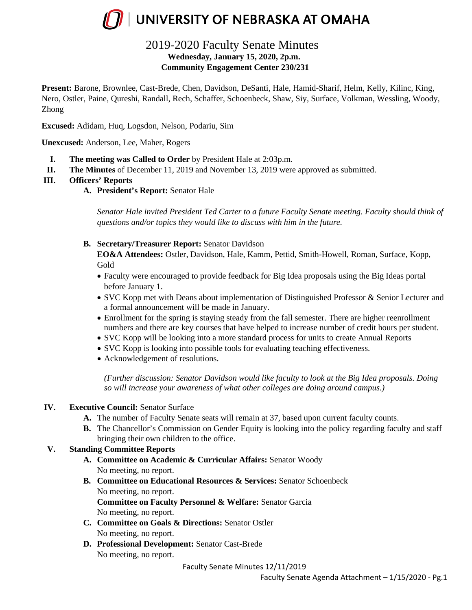

### 2019-2020 Faculty Senate Minutes **Wednesday, January 15, 2020, 2p.m. Community Engagement Center 230/231**

**Present:** Barone, Brownlee, Cast-Brede, Chen, Davidson, DeSanti, Hale, Hamid-Sharif, Helm, Kelly, Kilinc, King, Nero, Ostler, Paine, Qureshi, Randall, Rech, Schaffer, Schoenbeck, Shaw, Siy, Surface, Volkman, Wessling, Woody, Zhong

**Excused:** Adidam, Huq, Logsdon, Nelson, Podariu, Sim

**Unexcused:** Anderson, Lee, Maher, Rogers

- **I. The meeting was Called to Order** by President Hale at 2:03p.m.
- **II. The Minutes** of December 11, 2019 and November 13, 2019 were approved as submitted.

#### **III. Officers' Reports**

**A. President's Report:** Senator Hale

*Senator Hale invited President Ted Carter to a future Faculty Senate meeting. Faculty should think of questions and/or topics they would like to discuss with him in the future.* 

**B. Secretary/Treasurer Report:** Senator Davidson

**EO&A Attendees:** Ostler, Davidson, Hale, Kamm, Pettid, Smith-Howell, Roman, Surface, Kopp, Gold

- Faculty were encouraged to provide feedback for Big Idea proposals using the Big Ideas portal before January 1.
- SVC Kopp met with Deans about implementation of Distinguished Professor & Senior Lecturer and a formal announcement will be made in January.
- Enrollment for the spring is staying steady from the fall semester. There are higher reenrollment numbers and there are key courses that have helped to increase number of credit hours per student.
- SVC Kopp will be looking into a more standard process for units to create Annual Reports
- SVC Kopp is looking into possible tools for evaluating teaching effectiveness.
- Acknowledgement of resolutions.

*(Further discussion: Senator Davidson would like faculty to look at the Big Idea proposals. Doing so will increase your awareness of what other colleges are doing around campus.)*

#### **IV. Executive Council:** Senator Surface

- **A.** The number of Faculty Senate seats will remain at 37, based upon current faculty counts.
- **B.** The Chancellor's Commission on Gender Equity is looking into the policy regarding faculty and staff bringing their own children to the office.

#### **V. Standing Committee Reports**

- **A. Committee on Academic & Curricular Affairs:** Senator Woody No meeting, no report.
- **B. Committee on Educational Resources & Services:** Senator Schoenbeck No meeting, no report. **Committee on Faculty Personnel & Welfare:** Senator Garcia No meeting, no report.
- **C. Committee on Goals & Directions:** Senator Ostler No meeting, no report.
- **D. Professional Development:** Senator Cast-Brede No meeting, no report.

Faculty Senate Minutes 12/11/2019